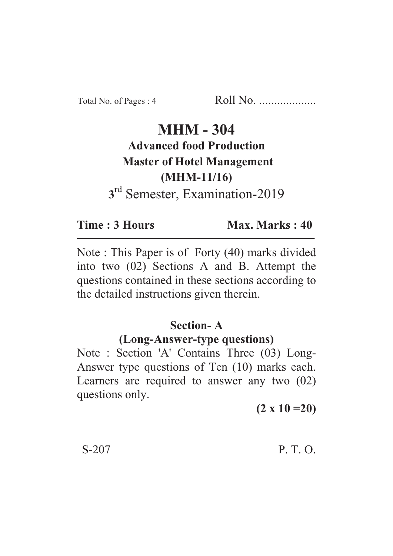# **MHM - 304 Advanced food Production Master of Hotel Management (MHM-11/16) 3** rd Semester, Examination-2019

**Time : 3 Hours Max. Marks : 40** 

Note : This Paper is of Forty (40) marks divided into two (02) Sections A and B. Attempt the questions contained in these sections according to the detailed instructions given therein.

# **Section- A**

### **(Long-Answer-type questions)**

Note : Section 'A' Contains Three (03) Long-Answer type questions of Ten (10) marks each. Learners are required to answer any two (02) questions only.

**(2 x 10 =20)**

## S-207 P. T. O.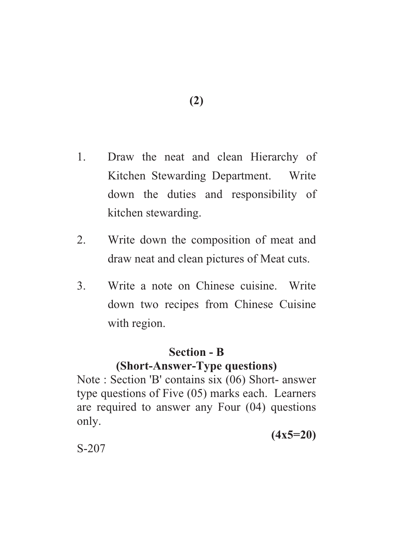- 1. Draw the neat and clean Hierarchy of Kitchen Stewarding Department. Write down the duties and responsibility of kitchen stewarding.
- 2. Write down the composition of meat and draw neat and clean pictures of Meat cuts.
- 3. Write a note on Chinese cuisine. Write down two recipes from Chinese Cuisine with region.

#### **Section - B**

### **(Short-Answer-Type questions)**

Note : Section 'B' contains six (06) Short- answer type questions of Five (05) marks each. Learners are required to answer any Four (04) questions only.

**(4x5=20)**

S-207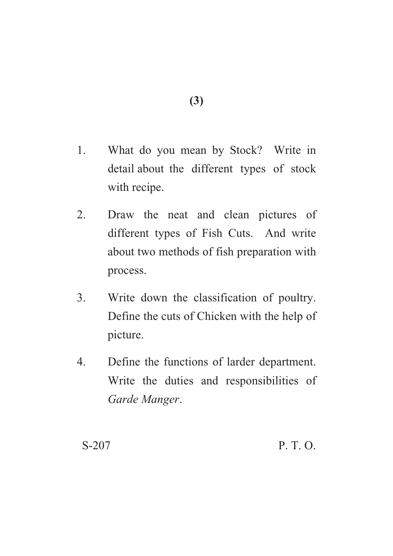- 1. What do you mean by Stock? Write in detail about the different types of stock with recipe.
- 2. Draw the neat and clean pictures of different types of Fish Cuts. And write about two methods of fish preparation with process.
- 3. Write down the classification of poultry. Define the cuts of Chicken with the help of picture.
- 4. Define the functions of larder department. Write the duties and responsibilities of *Garde Manger*.

S-207 P. T. O.